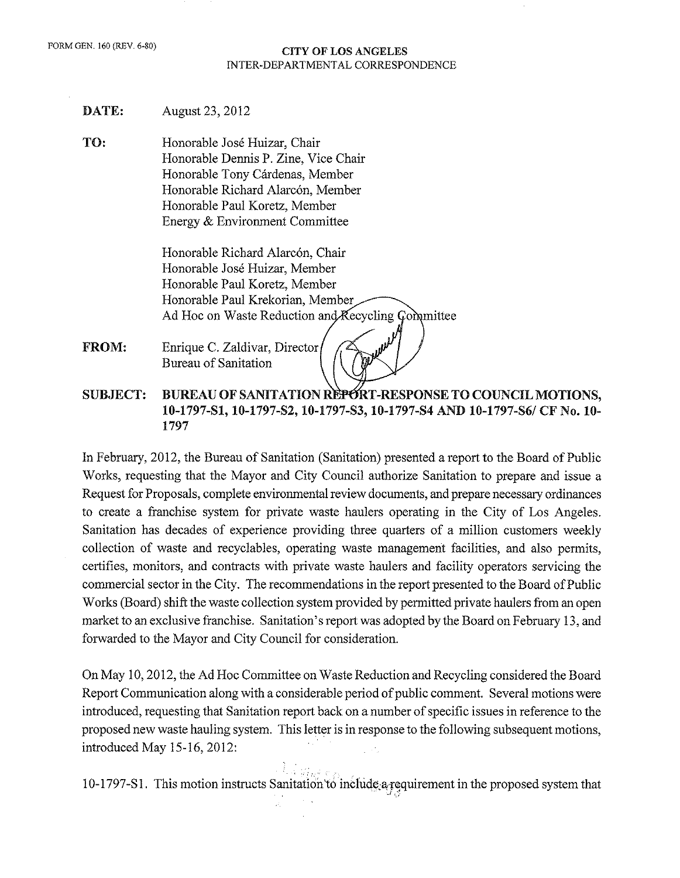#### CITY OF LOS ANGELES INTER-DEPARTMENTAL CORRESPONDENCE

- DATE: August 23, 2012
- TO: Honorable Jose Huizar, Chair Honorable Dennis P. Zine, Vice Chair Honorable Tony Cárdenas, Member Honorable Richard Alarcón, Member Honorable Paul Koretz, Member Energy & Environment Committee

Honorable Richard Alarcón, Chair Honorable Jose Huizar, Member Honorable Paul Koretz, Member Honorable Paul Krekorian, Member Ad Hoc on Waste Reduction and Recycling Committee

- FROM: Enrique C. Zaldivar, Director Bureau of Sanitation
- SUBJECT: BUREAU OF SANITATION REPORT-RESPONSE TO COUNCIL MOTIONS, 10-1797-S1, 10-1797-S2, 10-1797-S3, 10-1797-S4 AND 10-1797-S6/ CF No. 10- 1797

In February, 2012, the Bureau of Sanitation (Sanitation) presented a report to the Board of Public Works, requesting that the Mayor and City Council authorize Sanitation to prepare and issue a Request for Proposals, complete environmental review documents, and prepare necessary ordinances to create a franchise system for private waste haulers operating in the City of Los Angeles. Sanitation has decades of experience providing three quarters of a million customers weekly collection of waste and recyclables, operating waste management facilities, and also permits, certifies, monitors, and contracts with private waste haulers and facility operators servicing the commercial sector in the City. The recommendations in the report presented to the Board of Public Works (Board) shift the waste collection system provided by permitted private haulers from an open market to an exclusive franchise. Sanitation's report was adopted by the Board on February 13, and forwarded to the Mayor and City Council for consideration.

On May 10, 2012, the Ad Hoc Committee on Waste Reduction and Recycling considered the Board Report Communication along with a considerable period of public comment. Several motions were introduced, requesting that Sanitation report back on a number of specific issues in reference to the proposed new waste hauling system. This letter is in response to the following subsequent motions, introduced May 15-16, 2012:

10-1797-S1. This motion instructs Sanitation to include a requirement in the proposed system that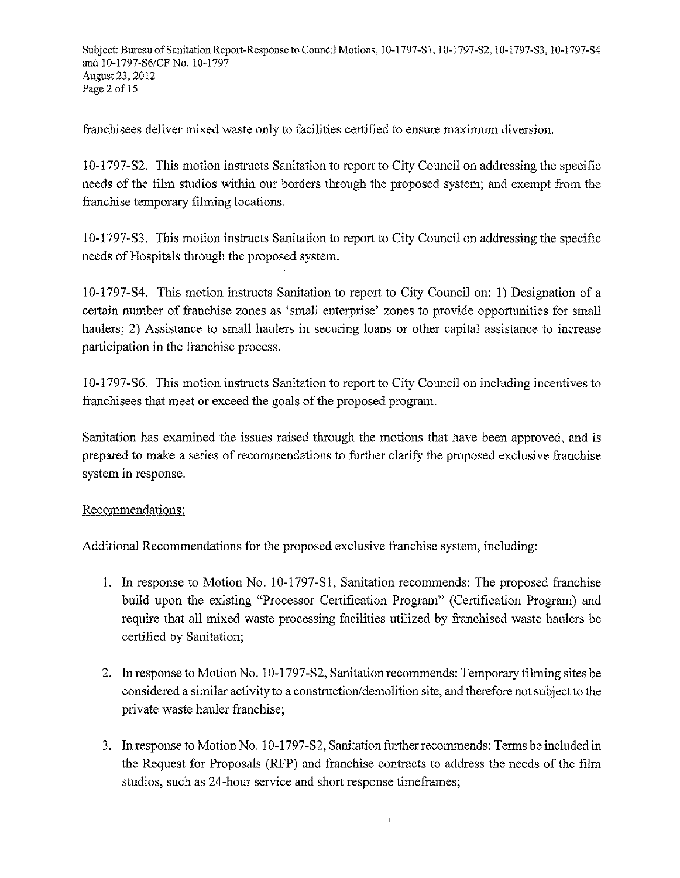franchisees deliver mixed waste only to facilities certified to ensure maximum diversion.

10-1797-S2. This motion instructs Sanitation to report to City Council on addressing the specific needs of the film studios within our borders through the proposed system; and exempt from the franchise temporary filming locations.

10-1797 -S3. This motion instructs Sanitation to report to City Council on addressing the specific needs of Hospitals through the proposed system.

10-1797-S4. This motion instructs Sanitation to report to City Council on: 1) Designation of a certain number of franchise zones as 'small enterprise' zones to provide opportunities for small haulers; 2) Assistance to small haulers in securing loans or other capital assistance to increase participation in the franchise process.

10-1797 -S6. This motion instructs Sanitation to report to City Council on including incentives to franchisees that meet or exceed the goals of the proposed program.

Sanitation has examined the issues raised through the motions that have been approved, and is prepared to make a series of recommendations to further clarify the proposed exclusive franchise system in response.

# Recommendations:

Additional Recommendations for the proposed exclusive franchise system, including:

- 1. In response to Motion No. 10-1797-S1, Sanitation recommends: The proposed franchise build upon the existing "Processor Certification Program" (Certification Program) and require that all mixed waste processing facilities utilized by franchised waste haulers be certified by Sanitation;
- 2. In response to Motion No. 10-1797-S2, Sanitation recommends: Temporary filming sites be considered a similar activity to a construction/demolition site, and therefore not subject to the private waste hauler franchise;
- 3. In response to Motion No. 10-1797-S2, Sanitation further recommends: Terms be included in the Request for Proposals (RFP) and franchise contracts to address the needs of the film studios, such as 24-hour service and short response timeframes;

 $\,$ i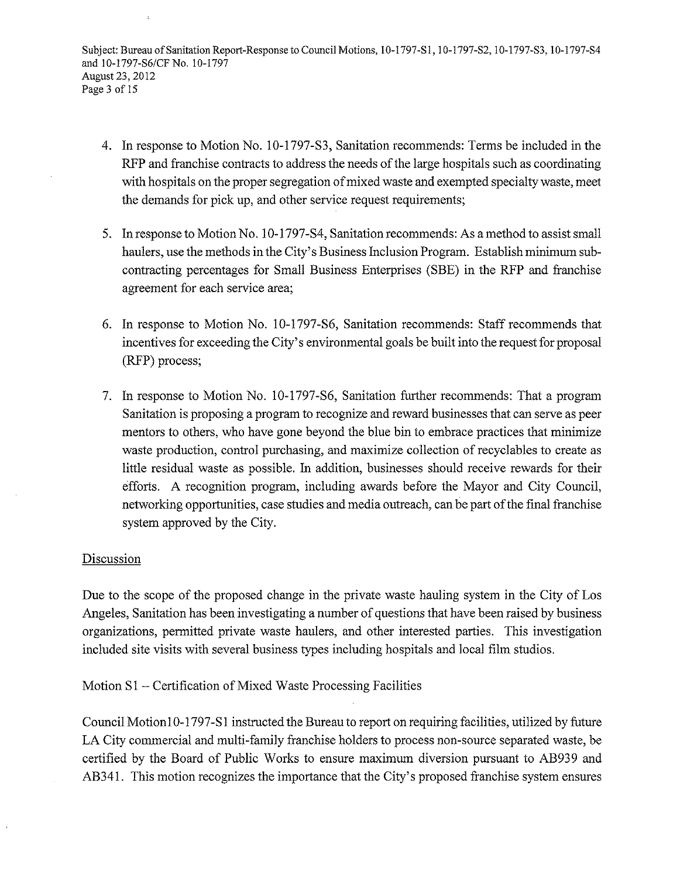Subject: Bureau of Sanitation Report-Response to Council Motions, 10-1797-S1, 10-1797-S2, 10-1797-S3, 10-1797-S4 and 10-1797-86/CFNo. 10-1797 August 23, 2012 Page 3 of 15

- 4. In response to Motion No. 10-1797-S3, Sanitation recommends: Terms be included in the RFP and franchise contracts to address the needs of the large hospitals such as coordinating with hospitals on the proper segregation of mixed waste and exempted specialty waste, meet the demands for pick up, and other service request requirements;
- 5. In response to Motion No. I 0-1797-S4, Sanitation recommends: As a method to assist small haulers, use the methods in the City's Business Inclusion Program. Establish minimum subcontracting percentages for Small Business Enterprises (SBE) in the RFP and franchise agreement for each service area;
- 6. In response to Motion No. 10-1797-S6, Sanitation recommends: Staff recommends that incentives for exceeding the City's environmental goals be built into the request for proposal (RFP) process;
- 7. In response to Motion No. 10-1797-S6, Sanitation further recommends: That a program Sanitation is proposing a program to recognize and reward businesses that can serve as peer mentors to others, who have gone beyond the blue bin to embrace practices that minimize waste production, control purchasing, and maximize collection of recyclables to create as little residual waste as possible. In addition, businesses should receive rewards for their efforts. A recognition program, including awards before the Mayor and City Council, networking opportunities, case studies and media outreach, can be part of the final franchise system approved by the City.

### Discussion

Due to the scope of the proposed change in the private waste hauling system in the City of Los Angeles, Sanitation has been investigating a number of questions that have been raised by business organizations, permitted private waste haulers, and other interested parties. This investigation included site visits with several business types including hospitals and local film studios.

Motion Sl- Certification of Mixed Waste Processing Facilities

Council Motion 10-1797-S1 instructed the Bureau to report on requiring facilities, utilized by future LA City commercial and multi-family franchise holders to process non-source separated waste, be certified by the Board of Public Works to ensure maximum diversion pursuant to AB939 and AB341. This motion recognizes the importance that the City's proposed franchise system ensures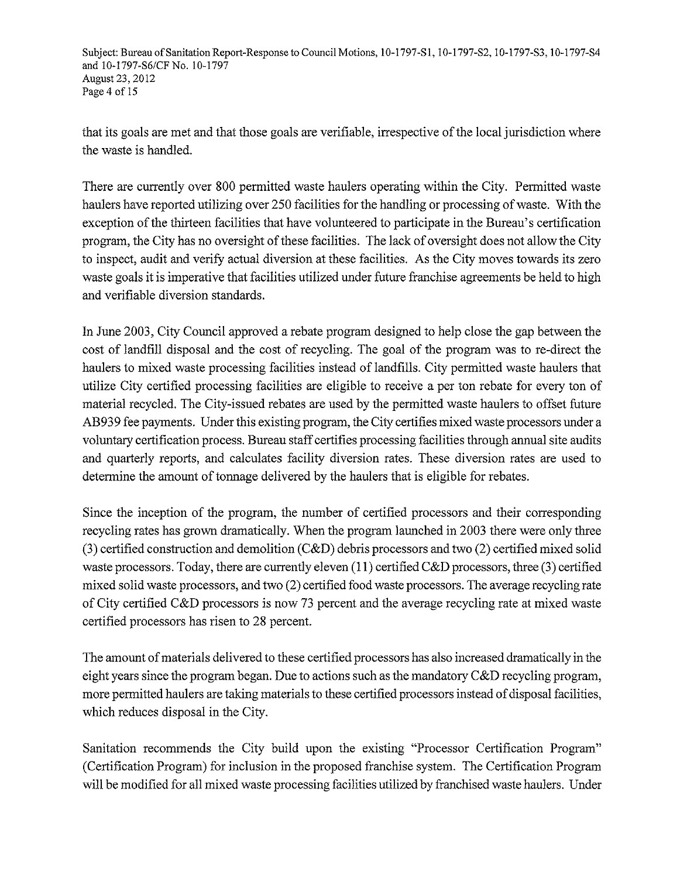Subject: Bureau of Sanitation Report-Response to Council Motions, 10-1797-S1, 10-1797-S2, 10-1797-S3, 10-1797-S4 and 10-1797-86/CFNo. 10-1797 August 23, 2012 Page 4 of 15

that its goals are met and that those goals are verifiable, irrespective of the local jurisdiction where the waste is handled.

There are currently over 800 permitted waste haulers operating within the City. Permitted waste haulers have reported utilizing over 250 facilities for the handling or processing of waste. With the exception of the thirteen facilities that have volunteered to participate in the Bureau's certification program, the City has no oversight of these facilities. The lack of oversight does not allow the City to inspect, audit and verify actual diversion at these facilities. As the City moves towards its zero waste goals it is imperative that facilities utilized under future franchise agreements be held to high and verifiable diversion standards.

In June 2003, City Council approved a rebate program designed to help close the gap between the cost of landfill disposal and the cost of recycling. The goal of the program was to re-direct the haulers to mixed waste processing facilities instead of landfills. City permitted waste haulers that utilize City certified processing facilities are eligible to receive a per ton rebate for every ton of material recycled. The City-issued rebates are used by the permitted waste haulers to offset future AB939 fee payments. Under this existing program, the City certifies mixed waste processors under a voluntary certification process. Bureau staff certifies processing facilities through annual site audits and quarterly reports, and calculates facility diversion rates. These diversion rates are used to determine the amount of tonnage delivered by the haulers that is eligible for rebates.

Since the inception of the program, the number of certified processors and their corresponding recycling rates has grown dramatically. When the program launched in 2003 there were only three (3) certified construction and demolition (C&D) debris processors and two (2) certified mixed solid waste processors. Today, there are currently eleven (11) certified C&D processors, three (3) certified mixed solid waste processors, and two (2) certified food waste processors. The average recycling rate of City certified C&D processors is now 73 percent and the average recycling rate at mixed waste certified processors has risen to 28 percent.

The amount of materials delivered to these certified processors has also increased dramatically in the eight years since the program began. Due to actions such as the mandatory C&D recycling program, more permitted haulers are taking materials to these certified processors instead of disposal facilities, which reduces disposal in the City.

Sanitation recommends the City build upon the existing "Processor Certification Program" (Certification Program) for inclusion in the proposed franchise system. The Certification Program will be modified for all mixed waste processing facilities utilized by franchised waste haulers. Under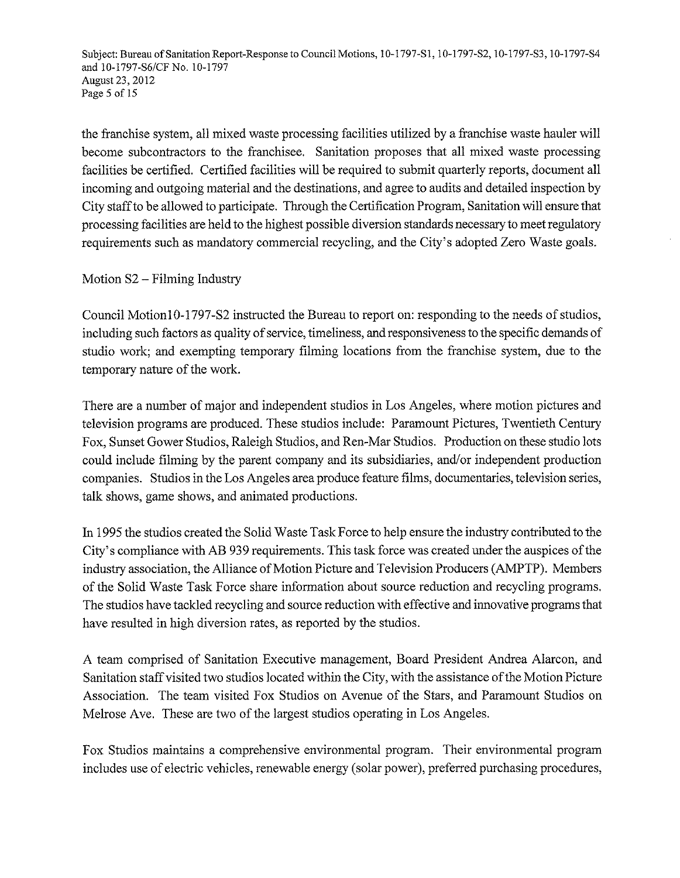Subject: Bureau of Sanitation Report-Response to Council Motions, 10-1797-S1, 10-1797-S2, 10-1797-S3, 10-1797-S4 and 10-1797-86/CFNo. 10-1797 August 23, 2012 Page 5 of 15

the franchise system, all mixed waste processing facilities utilized by a franchise waste hauler will become subcontractors to the franchisee. Sanitation proposes that all mixed waste processing facilities be certified. Certified facilities will be required to submit quarterly reports, document all incoming and outgoing material and the destinations, and agree to audits and detailed inspection by City staff to be allowed to participate. Through the Certification Program, Sanitation will ensure that processing facilities are held to the highest possible diversion standards necessary to meet regulatory requirements such as mandatory commercial recycling, and the City's adopted Zero Waste goals.

# Motion S2 - Filming Industry

Council Motion 10-1797-S2 instructed the Bureau to report on: responding to the needs of studios, including such factors as quality of service, timeliness, and responsiveness to the specific demands of studio work; and exempting temporary filming locations from the franchise system, due to the temporary nature of the work.

There are a number of major and independent studios in Los Angeles, where motion pictures and television programs are produced. These studios include: Paramount Pictures, Twentieth Century Fox, Sunset Gower Studios, Raleigh Studios, and Ren-Mar Studios. Production on these studio lots could include filming by the parent company and its subsidiaries, and/or independent production companies. Studios in the Los Angeles area produce feature films, documentaries, television series, talk shows, game shows, and animated productions.

In 1995 the studios created the Solid Waste Task Force to help ensure the industry contributed to the City's compliance with AB 939 requirements. This task force was created under the auspices of the industry association, the Alliance of Motion Picture and Television Producers (AMPTP). Members of the Solid Waste Task Force share information about source reduction and recycling programs. The studios have tackled recycling and source reduction with effective and innovative programs that have resulted in high diversion rates, as reported by the studios.

A team comprised of Sanitation Executive management, Board President Andrea Alarcon, and Sanitation staff visited two studios located within the City, with the assistance of the Motion Picture Association. The team visited Fox Studios on Avenue of the Stars, and Paramount Studios on Melrose Ave. These are two of the largest studios operating in Los Angeles.

Fox Studios maintains a comprehensive environmental program. Their environmental program includes use of electric vehicles, renewable energy (solar power), preferred purchasing procedures,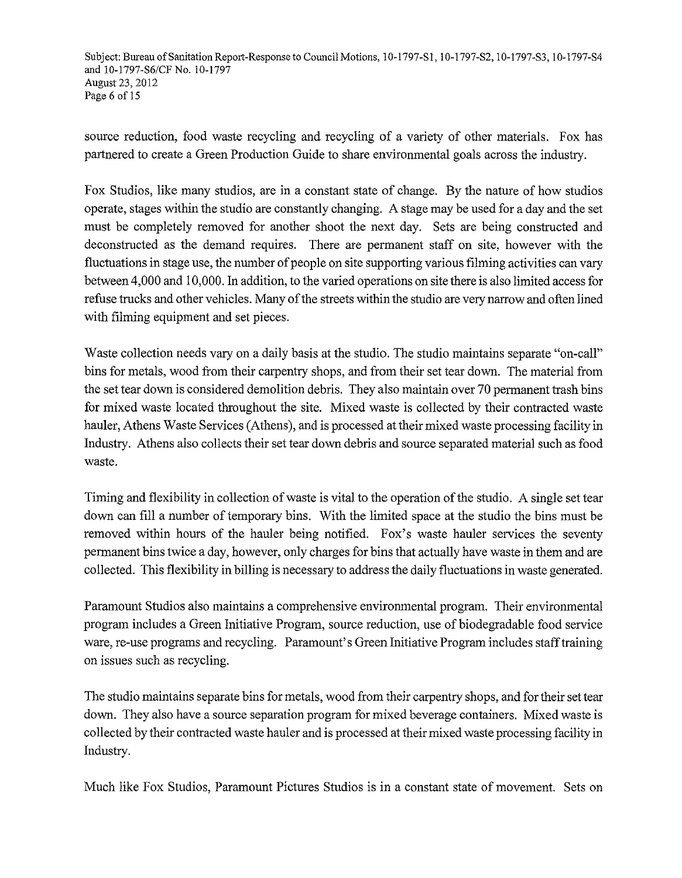Subject: Bureau of Sanitation Report-Response to Council Motions, 10-1797-S1, 10-1797-S2, 10-1797-S3, 10-1797-S4 and 10-1797-86/CFNo. 10-1797 August 23,2012 Page 6 of 15

source reduction, food waste recycling and recycling of a variety of other materials. Fox has partnered to create a Green Production Guide to share environmental goals across the industry.

Fox Studios, like many studios, are in a constant state of change. By the nature of how studios operate, stages within the studio are constantly changing. A stage may be used for a day and the set must be completely removed for another shoot the next day. Sets are being constructed and deconstructed as the demand requires. There are permanent staff on site, however with the fluctuations in stage use, the number of people on site supporting various filming activities can vary between 4,000 and I 0,000. In addition, to the varied operations on site there is also limited access for refuse trucks and other vehicles. Many of the streets within the studio are very narrow and often lined with filming equipment and set pieces.

Waste collection needs vary on a daily basis at the studio. The studio maintains separate "on-call" bins for metals, wood from their carpentry shops, and from their set tear down. The material from the set tear down is considered demolition debris. They also maintain over 70 permanent trash bins for mixed waste located throughout the site. Mixed waste is collected by their contracted waste hauler, Athens Waste Services (Athens), and is processed at their mixed waste processing facility in Industry. Athens also collects their set tear down debris and source separated material such as food waste.

Timing and flexibility in collection of waste is vital to the operation of the studio. A single set tear down can fill a number of temporary bins. With the limited space at the studio the bins must be removed within hours of the hauler being notified. Fox's waste hauler services the seventy permanent bins twice a day, however, only charges for bins that actually have waste in them and are collected. This flexibility in billing is necessary to address the daily fluctuations in waste generated.

Paramount Studios also maintains a comprehensive environmental program. Their environmental program includes a Green Initiative Program, source reduction, use of biodegradable food service ware, re-use programs and recycling. Paramount's Green Initiative Program includes staff training on issues such as recycling.

The studio maintains separate bins for metals, wood from their carpentry shops, and for their set tear down. They also have a source separation program for mixed beverage containers. Mixed waste is collected by their contracted waste hauler and is processed at their mixed waste processing facility in Industry.

Much like Fox Studios, Paramount Pictures Studios is in a constant state of movement. Sets on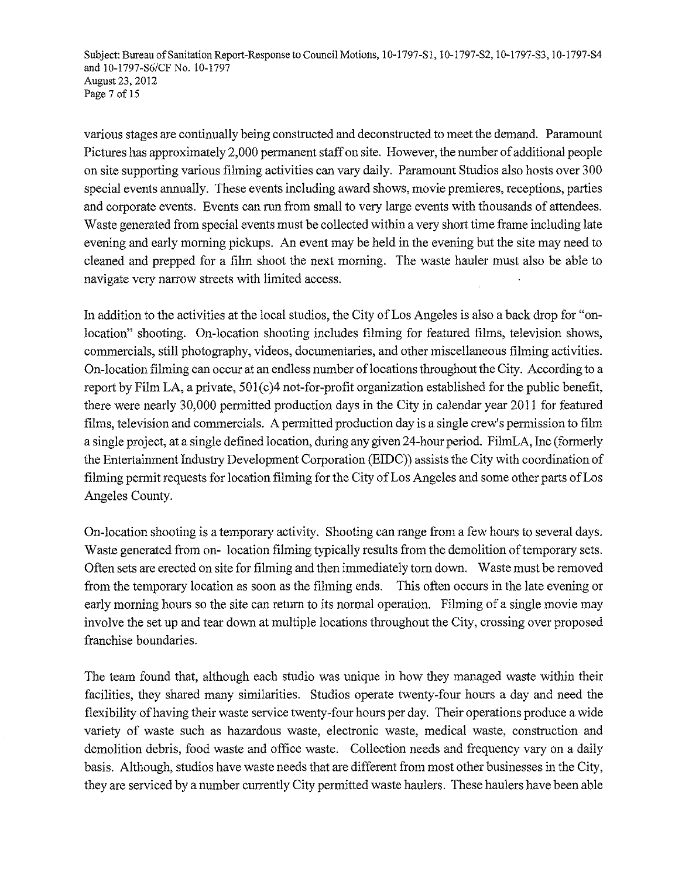Subject: Bureau of Sanitation Report-Response to Council Motions, 10-1797-Sl, 10-1797-S2, 10-1797-S3, 10-1797-S4 and 10-1797-S6/CF No. 10-1797 August 23, 2012 Page 7 of 15

various stages are continually being constructed and deconstructed to meet the demand. Paramount Pictures has approximately 2,000 permanent staff on site. However, the number of additional people on site supporting various filming activities can vary daily. Paramount Studios also hosts over 300 special events annually. These events including award shows, movie premieres, receptions, parties and corporate events. Events can run from small to very large events with thousands of attendees. Waste generated from special events must be collected within a very short time frame including late evening and early morning pickups. An event may be held in the evening but the site may need to cleaned and prepped for a film shoot the next morning. The waste hauler must also be able to navigate very narrow streets with limited access.

In addition to the activities at the local studios, the City of Los Angeles is also a back drop for "onlocation" shooting. On-location shooting includes filming for featured films, television shows, commercials, still photography, videos, documentaries, and other miscellaneous filming activities. On-location filming can occur at an endless number oflocations throughout the City. According to a report by Film LA, a private,  $501(c)4$  not-for-profit organization established for the public benefit, there were nearly 30,000 permitted production days in the City in calendar year 2011 for featured films, television and commercials. A permitted production day is a single crew's permission to film a single project, at a single defined location, during any given 24-hour period. FilmLA, Inc (formerly the Entertainment Industry Development Corporation (EIDC)) assists the City with coordination of filming permit requests for location filming for the City of Los Angeles and some other parts of Los Angeles County.

On-location shooting is a temporary activity. Shooting can range from a few hours to several days. Waste generated from on- location filming typically results from the demolition of temporary sets. Often sets are erected on site for filming and then immediately tom down. Waste must be removed from the temporary location as soon as the filming ends. This often occurs in the late evening or early morning hours so the site can return to its normal operation. Filming of a single movie may involve the set up and tear down at multiple locations throughout the City, crossing over proposed franchise boundaries.

The team found that, although each studio was unique in how they managed waste within their facilities, they shared many similarities. Studios operate twenty-four hours a day and need the flexibility of having their waste service twenty-four hours per day. Their operations produce a wide variety of waste such as hazardous waste, electronic waste, medical waste, construction and demolition debris, food waste and office waste. Collection needs and frequency vary on a daily basis. Although, studios have waste needs that are different from most other businesses in the City, they are serviced by a number currently City permitted waste haulers. These haulers have been able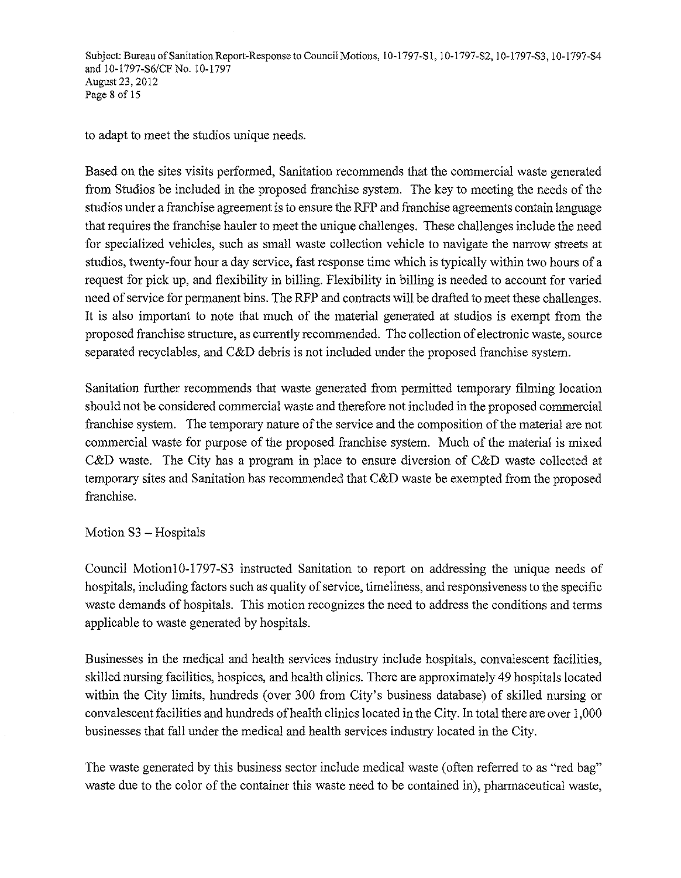Subject: Bureau of Sanitation Report-Response to Council Motions, 10-1797-S1, 10-1797-S2, 10-1797-S3, 10-1797-S4 and 10-1797-86/CF No. 10-1797 August 23, 2012 Page 8 of 15

to adapt to meet the studios unique needs.

Based on the sites visits performed, Sanitation recommends that the commercial waste generated from Studios be included in the proposed franchise system. The key to meeting the needs of the studios under a franchise agreement is to ensure the RFP and franchise agreements contain language that requires the franchise hauler to meet the unique challenges. These challenges include the need for specialized vehicles, such as small waste collection vehicle to navigate the narrow streets at studios, twenty-four hour a day service, fast response time which is typically within two hours of a request for pick up, and flexibility in billing. Flexibility in billing is needed to account for varied need of service for permanent bins. The RFP and contracts will be drafted to meet these challenges. It is also important to note that much of the material generated at studios is exempt from the proposed franchise structure, as currently recommended. The collection of electronic waste, source separated recyclables, and C&D debris is not included under the proposed franchise system.

Sanitation further recommends that waste generated from permitted temporary filming location should not be considered commercial waste and therefore not included in the proposed commercial franchise system. The temporary nature of the service and the composition of the material are not commercial waste for purpose of the proposed franchise system. Much of the material is mixed C&D waste. The City has a program in place to ensure diversion of C&D waste collected at temporary sites and Sanitation has recommended that C&D waste be exempted from the proposed franchise.

### Motion S3 - Hospitals

Council Motion 10-1797 -S3 instructed Sanitation to report on addressing the unique needs of hospitals, including factors such as quality of service, timeliness, and responsiveness to the specific waste demands of hospitals. This motion recognizes the need to address the conditions and terms applicable to waste generated by hospitals.

Businesses in the medical and health services industry include hospitals, convalescent facilities, skilled nursing facilities, hospices, and health clinics. There are approximately 49 hospitals located within the City limits, hundreds (over 300 from City's business database) of skilled nursing or convalescent facilities and hundreds of health clinics located in the City. In total there are over 1,000 businesses that fall under the medical and health services industry located in the City.

The waste generated by this business sector include medical waste (often referred to as "red bag" waste due to the color of the container this waste need to be contained in), pharmaceutical waste,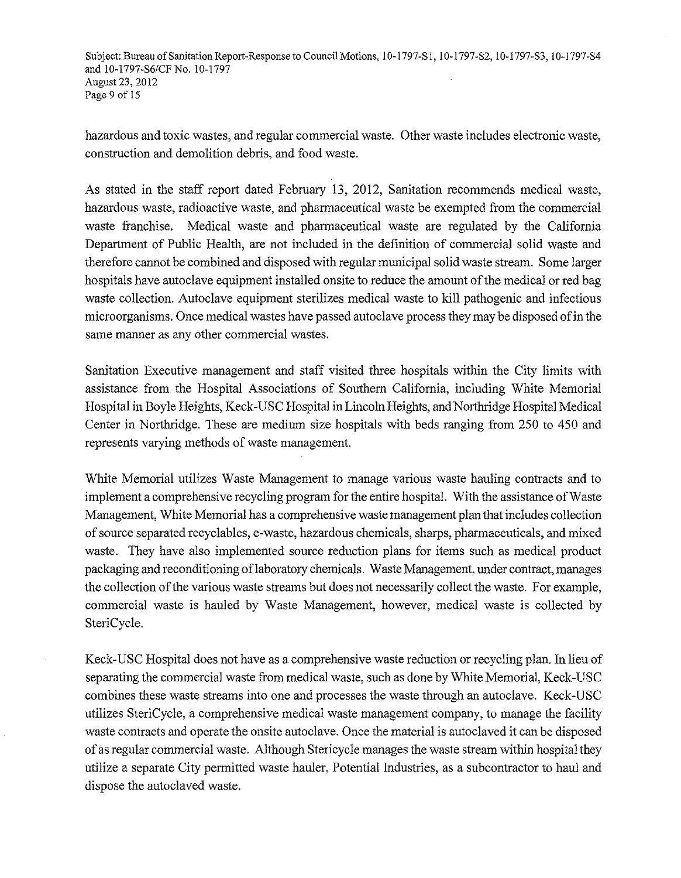Subject: Bureau of Sanitation Report-Response to Council Motions, 10-1797-S1, 10-1797-S2, 10-1797-S3, 10-1797-S4 and 10-1797-86/CFNo. 10-1797 August 23, 2012 Page 9 of 15

hazardous and toxic wastes, and regular commercial waste. Other waste includes electronic waste, construction and demolition debris, and food waste.

As stated in the staff report dated February 13, 2012, Sanitation recommends medical waste, hazardous waste, radioactive waste, and pharmaceutical waste be exempted from the commercial waste franchise. Medical waste and pharmaceutical waste are regulated by the California Department of Public Health, are not included in the definition of commercial solid waste and therefore cannot be combined and disposed with regular municipal solid waste stream. Some larger hospitals have autoclave equipment installed onsite to reduce the amount of the medical or red bag waste collection. Autoclave equipment sterilizes medical waste to kill pathogenic and infectious microorganisms. Once medical wastes have passed autoclave process they may be disposed of in the same manner as any other commercial wastes.

Sanitation Executive management and staff visited three hospitals within the City limits with assistance from the Hospital Associations of Southern California, including White Memorial Hospital in Boyle Heights, Keck-USC Hospital in Lincoln Heights, and Northridge Hospital Medical Center in Northridge. These are medium size hospitals with beds ranging from 250 to 450 and represents varying methods of waste management.

White Memorial utilizes Waste Management to manage various waste hauling contracts and to implement a comprehensive recycling program for the entire hospital. With the assistance of Waste Management, White Memorial has a comprehensive waste management plan that includes collection of source separated recyclables, e-waste, hazardous chemicals, sharps, pharmaceuticals, and mixed waste. They have also implemented source reduction plans for items such as medical product packaging and reconditioning of laboratory chemicals. Waste Management, under contract, manages the collection of the various waste streams but does not necessarily collect the waste. For example, commercial waste is hauled by Waste Management, however, medical waste is collected by SteriCycle.

Keck-USC Hospital does not have as a comprehensive waste reduction or recycling plan. In lieu of separating the commercial waste from medical waste, such as done by White Memorial, Keck-USC combines these waste streams into one and processes the waste through an autoclave. Keck-USC utilizes SteriCycle, a comprehensive medical waste management company, to manage the facility waste contracts and operate the onsite autoclave. Once the material is autoclaved it can be disposed of as regular commercial waste. Although Stericycle manages the waste stream within hospital they utilize a separate City permitted waste hauler, Potential Industries, as a subcontractor to haul and dispose the autoclaved waste.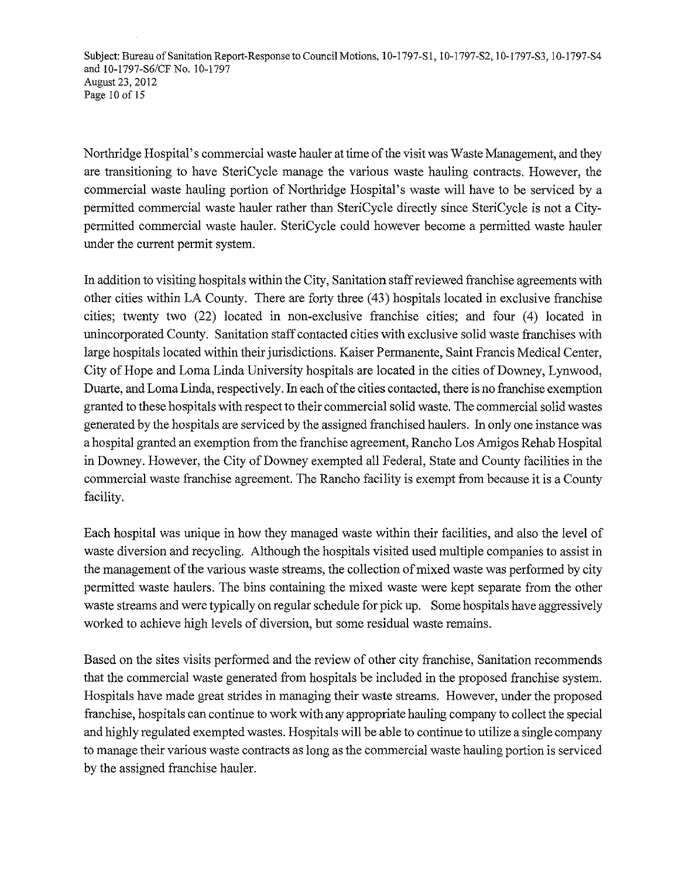Subject: Bureau of Sanitation Report-Response to Council Motions, 10-1797-S1, 10-1797-S2, 10-1797-S3, 10-1797-S4 and 10-1797-86/CFNo. 10-1797 August 23, 2012 Page 10 of 15

Northridge Hospital's commercial waste hauler at time of the visit was Waste Management, and they are transitioning to have SteriCycle manage the various waste hauling contracts. However, the commercial waste hauling portion of Northridge Hospital's waste will have to be serviced by a permitted commercial waste hauler rather than SteriCycle directly since SteriCycle is not a Citypermitted commercial waste hauler. SteriCycle could however become a permitted waste hauler under the current permit system.

In addition to visiting hospitals within the City, Sanitation staff reviewed franchise agreements with other cities within LA County. There are forty three (43) hospitals located in exclusive franchise cities; twenty two (22) located in non-exclusive franchise cities; and four (4) located in unincorporated County. Sanitation staff contacted cities with exclusive solid waste franchises with large hospitals located within their jurisdictions. Kaiser Permanente, Saint Francis Medical Center, City of Hope and Lorna Linda University hospitals are located in the cities of Downey, Lynwood, Duarte, and Loma Linda, respectively. In each of the cities contacted, there is no franchise exemption granted to these hospitals with respect to their commercial solid waste. The commercial solid wastes generated by the hospitals are serviced by the assigned franchised haulers. In only one instance was a hospital granted an exemption from the franchise agreement, Rancho Los Amigos Rehab Hospital in Downey. However, the City of Downey exempted all Federal, State and County facilities in the commercial waste franchise agreement. The Rancho facility is exempt from because it is a County facility.

Each hospital was unique in how they managed waste within their facilities, and also the level of waste diversion and recycling. Although the hospitals visited used multiple companies to assist in the management of the various waste streams, the collection of mixed waste was performed by city permitted waste haulers. The bins containing the mixed waste were kept separate from the other waste streams and were typically on regular schedule for pick up. Some hospitals have aggressively worked to achieve high levels of diversion, but some residual waste remains.

Based on the sites visits performed and the review of other city franchise, Sanitation recommends that the commercial waste generated from hospitals be included in the proposed franchise system. Hospitals have made great strides in managing their waste streams. However, under the proposed franchise, hospitals can continue to work with any appropriate hauling company to collect the special and highly regulated exempted wastes. Hospitals will be able to continue to utilize a single company to manage their various waste contracts as long as the commercial waste hauling portion is serviced by the assigned franchise hauler.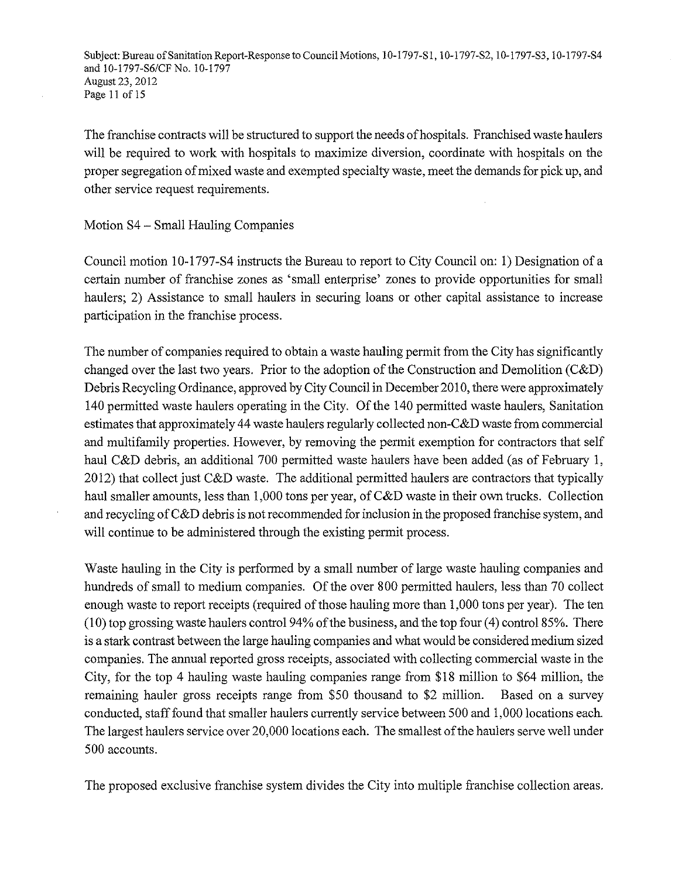Subject: Bureau of Sanitation Report-Response to Council Motions, 10-1797-S1, 10-1797-S2, 10-1797-S3, 10-1797-S4 and 10-1797-S6/CFNo. 10-1797 August 23, 2012 Page 11 of 15

The franchise contracts will be structured to support the needs of hospitals. Franchised waste haulers will be required to work with hospitals to maximize diversion, coordinate with hospitals on the proper segregation of mixed waste and exempted specialty waste, meet the demands for pick up, and other service request requirements.

Motion S4 - Small Hauling Companies

Council motion 10-1797-S4 instructs the Bureau to report to City Council on: 1) Designation of a certain number of franchise zones as 'small enterprise' zones to provide opportunities for small haulers; 2) Assistance to small haulers in securing loans or other capital assistance to increase participation in the franchise process.

The number of companies required to obtain a waste hauling permit from the City has significantly changed over the last two years. Prior to the adoption of the Construction and Demolition (C&D) Debris Recycling Ordinance, approved by City Council in December 2010, there were approximately 140 permitted waste haulers operating in the City. Of the 140 permitted waste haulers, Sanitation estimates that approximately 44 waste haulers regularly collected non-C&D waste from commercial and multifamily properties. However, by removing the permit exemption for contractors that self haul C&D debris, an additional 700 permitted waste haulers have been added (as of February 1, 2012) that collect just C&D waste. The additional permitted haulers are contractors that typically haul smaller amounts, less than 1,000 tons per year, of C&D waste in their own trucks. Collection and recycling of C&D debris is not recommended for inclusion in the proposed franchise system, and will continue to be administered through the existing permit process.

Waste hauling in the City is performed by a small number of large waste hauling companies and hundreds of small to medium companies. Of the over 800 permitted haulers, less than 70 collect enough waste to report receipts (required of those hauling more than 1,000 tons per year). The ten  $(10)$  top grossing waste haulers control 94% of the business, and the top four  $(4)$  control 85%. There is a stark contrast between the large hauling companies and what would be considered medium sized companies. The annual reported gross receipts, associated with collecting commercial waste in the City, for the top 4 hauling waste hauling companies range from \$18 million to \$64 million, the remaining hauler gross receipts range from \$50 thousand to \$2 million. Based on a survey conducted, staff found that smaller haulers currently service between 500 and 1,000 locations each. The largest haulers service over 20,000 locations each. The smallest of the haulers serve well under 500 accounts.

The proposed exclusive franchise system divides the City into multiple franchise collection areas.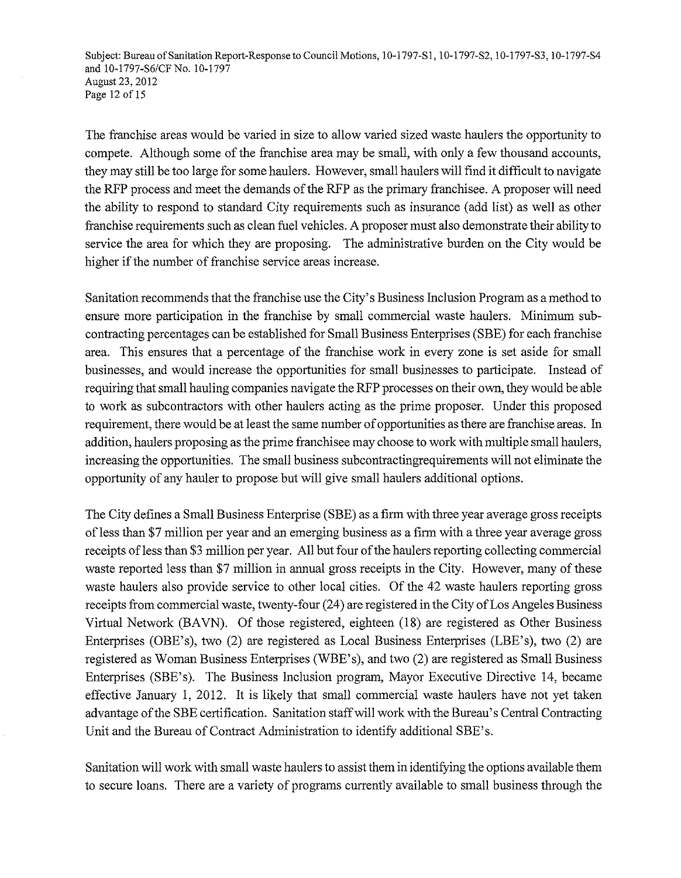Subject: Bureau of Sanitation Report-Response to Council Motions, 10-1797-S1, 10-1797-S2, 10-1797-S3, 10-1797-S4 and I0-1797-S6/CFNo. 10-1797 August 23, 2012 Page 12 of 15

The franchise areas would be varied in size to allow varied sized waste haulers the opportunity to compete. Although some of the franchise area may be small, with only a few thousand accounts, they may still be too large for some haulers. However, small haulers will find it difficult to navigate the RFP process and meet the demands of the RFP as the primary franchisee. A proposer will need the ability to respond to standard City requirements such as insurance (add list) as well as other franchise requirements such as clean fuel vehicles. A proposer must also demonstrate their ability to service the area for which they are proposing. The administrative burden on the City would be higher if the number of franchise service areas increase.

Sanitation recommends that the franchise use the City's Business Inclusion Program as a method to ensure more participation in the franchise by small commercial waste haulers. Minimum subcontracting percentages can be established for Small Business Enterprises (SBE) for each franchise area. This ensures that a percentage of the franchise work in every zone is set aside for small businesses, and would increase the opportunities for small businesses to participate. Instead of requiring that small hauling companies navigate the RFP processes on their own, they would be able to work as subcontractors with other haulers acting as the prime proposer. Under this proposed requirement, there would be at least the same number of opportunities as there are franchise areas. In addition, haulers proposing as the prime franchisee may choose to work with multiple small haulers, increasing the opportunities. The small business subcontractingrequirements will not eliminate the opportunity of any hauler to propose but will give small haulers additional options.

The City defines a Small Business Enterprise (SBE) as a firm with three year average gross receipts ofless than \$7 million per year and an emerging business as a firm with a three year average gross receipts of less than \$3 million per year. All but four of the haulers reporting collecting commercial waste reported less than \$7 million in annual gross receipts in the City. However, many of these waste haulers also provide service to other local cities. Of the 42 waste haulers reporting gross receipts from commercial waste, twenty-four (24) are registered in the City of Los Angeles Business Virtual Network (BAVN). Of those registered, eighteen (18) are registered as Other Business Enterprises (OBE's), two (2) are registered as Local Business Enterprises (LBE's), two (2) are registered as Woman Business Enterprises (WBE's), and two (2) are registered as Small Business Enterprises (SBE's). The Business Inclusion program, Mayor Executive Directive 14, became effective January 1, 2012. It is likely that small commercial waste haulers have not yet taken advantage of the SBE certification. Sanitation staff will work with the Bureau's Central Contracting Unit and the Bureau of Contract Administration to identify additional SBE's.

Sanitation will work with small waste haulers to assist them in identifying the options available them to secure loans. There are a variety of programs currently available to small business through the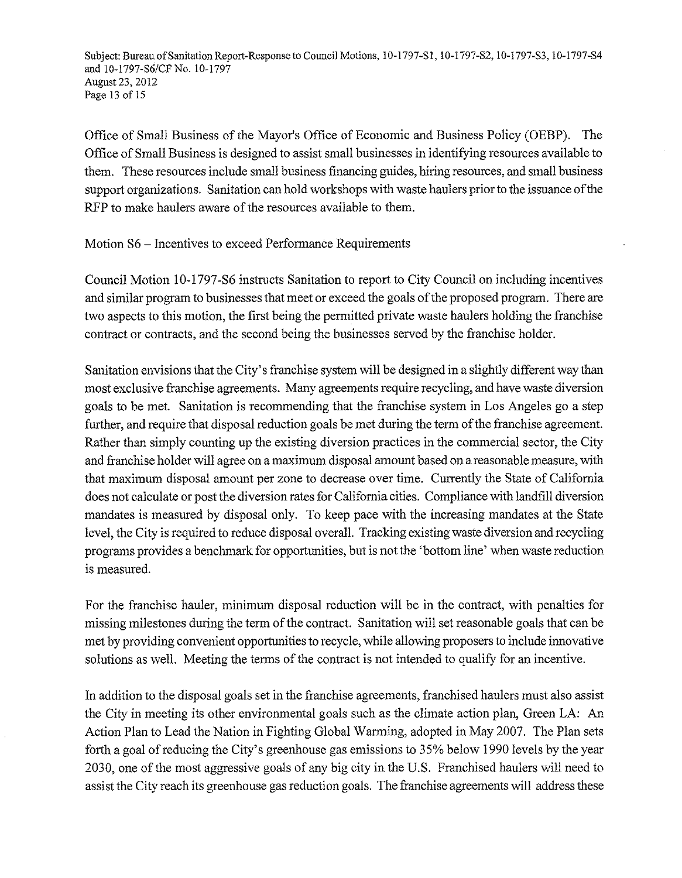Subject: Bureau of Sanitation Report-Response to Council Motions, 10-1797-S1, 10-1797-S2, 10-1797-S3, 10-1797-S4 and 10-1797-86/CF No. 10-1797 August 23, 2012 Page 13 of 15

Office of Small Business of the Mayor's Office of Economic and Business Policy (OEBP). The Office of Small Business is designed to assist small businesses in identifYing resources available to them. These resources include small business financing guides, hiring resources, and small business support organizations. Sanitation can hold workshops with waste haulers prior to the issuance of the RFP to make haulers aware of the resources available to them.

Motion S6 - Incentives to exceed Performance Requirements

Council Motion 10-1797 -S6 instructs Sanitation to report to City Council on including incentives and similar program to businesses that meet or exceed the goals of the proposed program. There are two aspects to this motion, the first being the permitted private waste haulers holding the franchise contract or contracts, and the second being the businesses served by the franchise holder.

Sanitation envisions that the City's franchise system will be designed in a slightly different way than most exclusive franchise agreements. Many agreements require recycling, and have waste diversion goals to be met. Sanitation is recommending that the franchise system in Los Angeles go a step further, and require that disposal reduction goals be met during the term of the franchise agreement. Rather than simply counting up the existing diversion practices in the commercial sector, the City and franchise holder will agree on a maximum disposal amount based on a reasonable measure, with that maximum disposal amount per zone to decrease over time. Currently the State of California does not calculate or post the diversion rates for California cities. Compliance with landfill diversion mandates is measured by disposal only. To keep pace with the increasing mandates at the State level, the City is required to reduce disposal overall. Tracking existing waste diversion and recycling programs provides a benchmark for opportunities, but is not the 'bottom line' when waste reduction is measured.

For the franchise hauler, minimum disposal reduction will be in the contract, with penalties for missing milestones during the term of the contract. Sanitation will set reasonable goals that can be met by providing convenient opportunities to recycle, while allowing proposers to include innovative solutions as well. Meeting the terms of the contract is not intended to qualify for an incentive.

In addition to the disposal goals set in the franchise agreements, franchised haulers must also assist the City in meeting its other environmental goals such as the climate action plan, Green LA: An Action Plan to Lead the Nation in Fighting Global Warming, adopted in May 2007. The Plan sets forth a goal of reducing the City's greenhouse gas emissions to 35% below 1990 levels by the year 2030, one of the most aggressive goals of any big city in the U.S. Franchised haulers will need to assist the City reach its greenhouse gas reduction goals. The franchise agreements will address these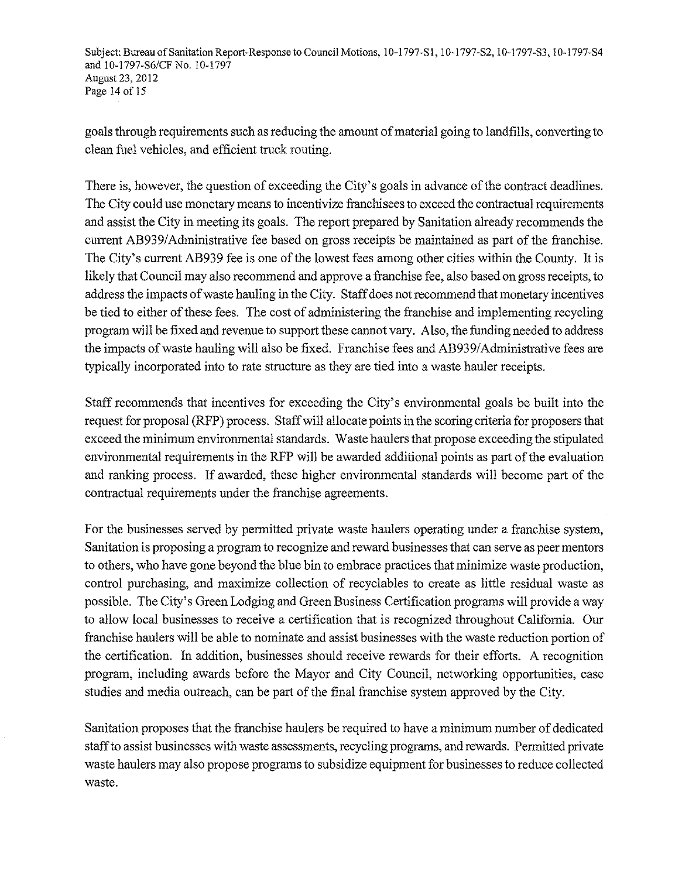Subject: Bureau of Sanitation Report-Response to Council Motions, 10-1797-S1, 10-1797-S2, 10-1797-S3, 10-1797-S4 and 10-1797-86/CFNo. 10-1797 August 23, 2012 Page 14 of 15

goals through requirements such as reducing the amount of material going to landfills, converting to clean fuel vehicles, and efficient truck routing.

There is, however, the question of exceeding the City's goals in advance of the contract deadlines. The City could use monetary means to incentivize franchisees to exceed the contractual requirements and assist the City in meeting its goals. The report prepared by Sanitation already recommends the current AB939/Administrative fee based on gross receipts be maintained as part of the franchise. The City's current AB939 fee is one of the lowest fees among other cities within the County. It is likely that Council may also recommend and approve a franchise fee, also based on gross receipts, to address the impacts of waste hauling in the City. Staff does not recommend that monetary incentives be tied to either of these fees. The cost of administering the franchise and implementing recycling program will be fixed and revenue to support these cannot vary. Also, the funding needed to address the impacts of waste hauling will also be fixed. Franchise fees and AB939/Administrative fees are typically incorporated into to rate structure as they are tied into a waste hauler receipts.

Staff recommends that incentives for exceeding the City's environmental goals be built into the request for proposal (RFP) process. Staff will allocate points in the scoring criteria for proposers that exceed the minimum environmental standards. Waste haulers that propose exceeding the stipulated environmental requirements in the RFP will be awarded additional points as part of the evaluation and ranking process. If awarded, these higher environmental standards will become part of the contractual requirements under the franchise agreements.

For the businesses served by permitted private waste haulers operating under a franchise system, Sanitation is proposing a program to recognize and reward businesses that can serve as peer mentors to others, who have gone beyond the blue bin to embrace practices that minimize waste production, control purchasing, and maximize collection of recyclables to create as little residual waste as possible. The City's Green Lodging and Green Business Certification programs will provide a way to allow local businesses to receive a certification that is recognized throughout California. Our franchise haulers will be able to nominate and assist businesses with the waste reduction portion of the certification. In addition, businesses should receive rewards for their efforts. A recognition program, including awards before the Mayor and City Council, networking opportunities, case studies and media outreach, can be part of the final franchise system approved by the City.

Sanitation proposes that the franchise haulers be required to have a minimum number of dedicated staff to assist businesses with waste assessments, recycling programs, and rewards. Permitted private waste haulers may also propose programs to subsidize equipment for businesses to reduce collected waste.